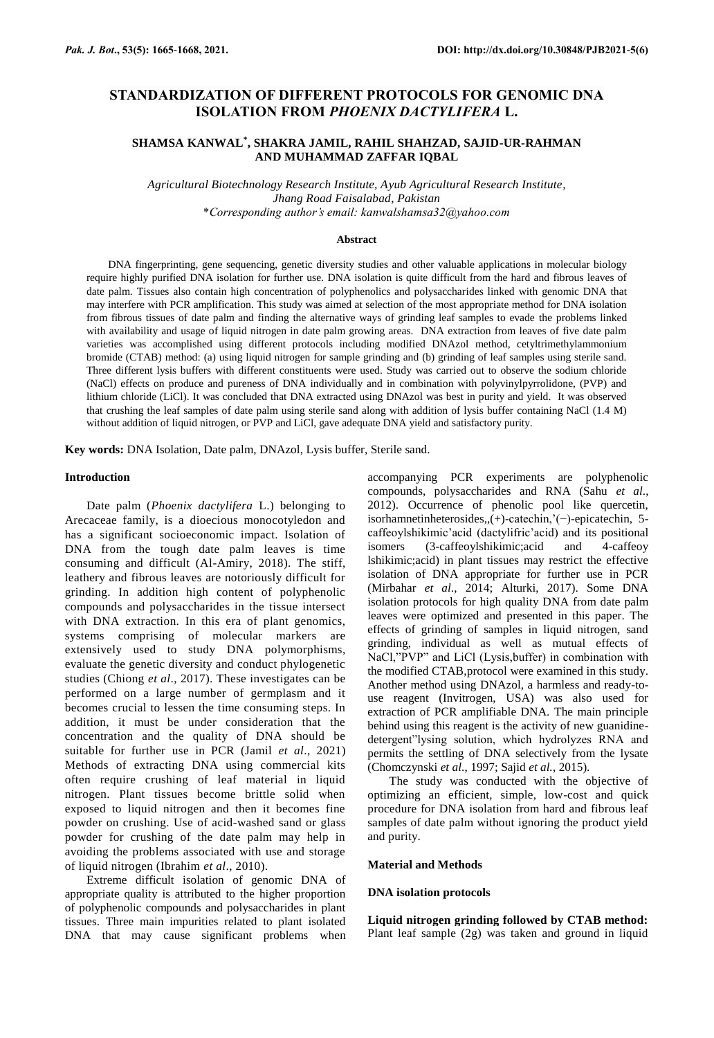# **STANDARDIZATION OF DIFFERENT PROTOCOLS FOR GENOMIC DNA ISOLATION FROM** *PHOENIX DACTYLIFERA* **L.**

# **SHAMSA KANWAL\* , SHAKRA JAMIL, RAHIL SHAHZAD, SAJID-UR-RAHMAN AND MUHAMMAD ZAFFAR IQBAL**

*Agricultural Biotechnology Research Institute, Ayub Agricultural Research Institute, Jhang Road Faisalabad, Pakistan* \**Corresponding author's email: kanwalshamsa32@yahoo.com*

#### **Abstract**

DNA fingerprinting, gene sequencing, genetic diversity studies and other valuable applications in molecular biology require highly purified DNA isolation for further use. DNA isolation is quite difficult from the hard and fibrous leaves of date palm. Tissues also contain high concentration of polyphenolics and polysaccharides linked with genomic DNA that may interfere with PCR amplification. This study was aimed at selection of the most appropriate method for DNA isolation from fibrous tissues of date palm and finding the alternative ways of grinding leaf samples to evade the problems linked with availability and usage of liquid nitrogen in date palm growing areas. DNA extraction from leaves of five date palm varieties was accomplished using different protocols including modified DNAzol method, cetyltrimethylammonium bromide (CTAB) method: (a) using liquid nitrogen for sample grinding and (b) grinding of leaf samples using sterile sand. Three different lysis buffers with different constituents were used. Study was carried out to observe the sodium chloride (NaCl) effects on produce and pureness of DNA individually and in combination with polyvinylpyrrolidone, (PVP) and lithium chloride (LiCl). It was concluded that DNA extracted using DNAzol was best in purity and yield. It was observed that crushing the leaf samples of date palm using sterile sand along with addition of lysis buffer containing NaCl (1.4 M) without addition of liquid nitrogen, or PVP and LiCl, gave adequate DNA yield and satisfactory purity.

**Key words:** DNA Isolation, Date palm, DNAzol, Lysis buffer, Sterile sand.

#### **Introduction**

Date palm (*Phoenix dactylifera* L.) belonging to Arecaceae family, is a dioecious monocotyledon and has a significant socioeconomic impact. Isolation of DNA from the tough date palm leaves is time consuming and difficult (Al-Amiry, 2018). The stiff, leathery and fibrous leaves are notoriously difficult for grinding. In addition high content of polyphenolic compounds and polysaccharides in the tissue intersect with DNA extraction. In this era of plant genomics, systems comprising of molecular markers are extensively used to study DNA polymorphisms, evaluate the genetic diversity and conduct phylogenetic studies (Chiong *et al*., 2017). These investigates can be performed on a large number of germplasm and it becomes crucial to lessen the time consuming steps. In addition, it must be under consideration that the concentration and the quality of DNA should be suitable for further use in PCR (Jamil *et al*., 2021) Methods of extracting DNA using commercial kits often require crushing of leaf material in liquid nitrogen. Plant tissues become brittle solid when exposed to liquid nitrogen and then it becomes fine powder on crushing. Use of acid-washed sand or glass powder for crushing of the date palm may help in avoiding the problems associated with use and storage of liquid nitrogen (Ibrahim *et al*., 2010).

Extreme difficult isolation of genomic DNA of appropriate quality is attributed to the higher proportion of polyphenolic compounds and polysaccharides in plant tissues. Three main impurities related to plant isolated DNA that may cause significant problems when

accompanying PCR experiments are polyphenolic compounds, polysaccharides and RNA (Sahu *et al*., 2012). Occurrence of phenolic pool like quercetin, isorhamnetinheterosides,,(+)-catechin,'(−)-epicatechin, 5 caffeoylshikimic'acid (dactylifric'acid) and its positional isomers (3-caffeoylshikimic;acid and 4-caffeoy lshikimic;acid) in plant tissues may restrict the effective isolation of DNA appropriate for further use in PCR (Mirbahar *et al*., 2014; Alturki, 2017). Some DNA isolation protocols for high quality DNA from date palm leaves were optimized and presented in this paper. The effects of grinding of samples in liquid nitrogen, sand grinding, individual as well as mutual effects of NaCl,"PVP" and LiCl (Lysis,buffer) in combination with the modified CTAB,protocol were examined in this study. Another method using DNAzol, a harmless and ready-touse reagent (Invitrogen, USA) was also used for extraction of PCR amplifiable DNA. The main principle behind using this reagent is the activity of new guanidinedetergent"lysing solution, which hydrolyzes RNA and permits the settling of DNA selectively from the lysate (Chomczynski *et al*., 1997; Sajid *et al.*, 2015).

The study was conducted with the objective of optimizing an efficient, simple, low-cost and quick procedure for DNA isolation from hard and fibrous leaf samples of date palm without ignoring the product yield and purity.

#### **Material and Methods**

### **DNA isolation protocols**

**Liquid nitrogen grinding followed by CTAB method:**  Plant leaf sample (2g) was taken and ground in liquid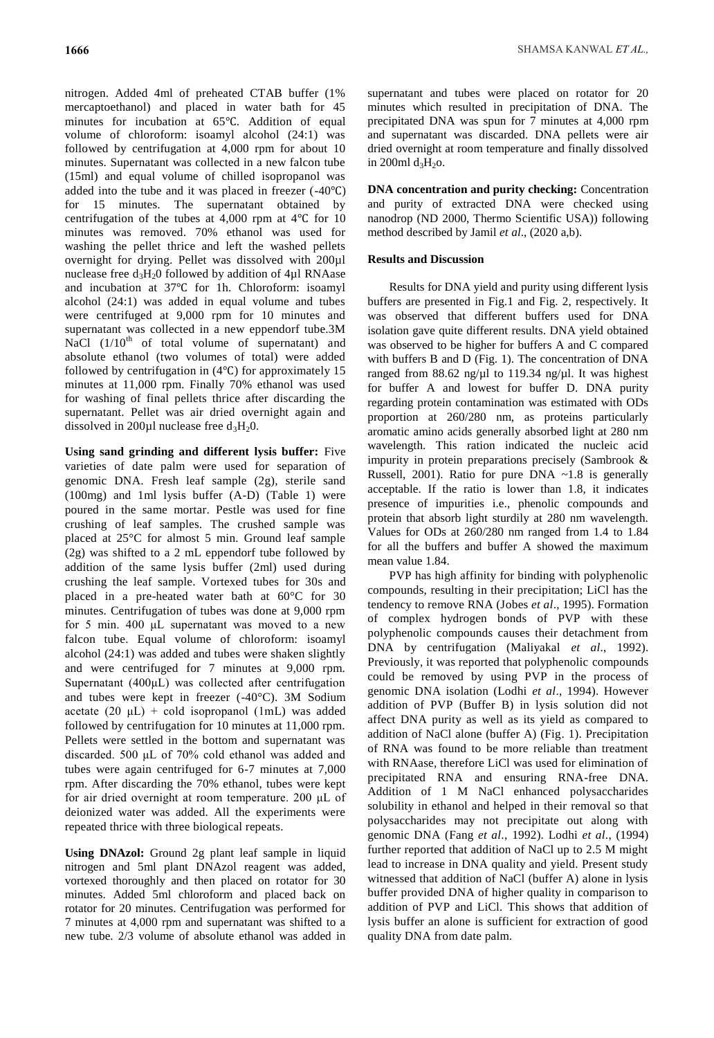nitrogen. Added 4ml of preheated CTAB buffer (1% mercaptoethanol) and placed in water bath for 45 minutes for incubation at 65℃. Addition of equal volume of chloroform: isoamyl alcohol (24:1) was followed by centrifugation at 4,000 rpm for about 10 minutes. Supernatant was collected in a new falcon tube (15ml) and equal volume of chilled isopropanol was added into the tube and it was placed in freezer (-40℃) for 15 minutes. The supernatant obtained by centrifugation of the tubes at 4,000 rpm at 4℃ for 10 minutes was removed. 70% ethanol was used for washing the pellet thrice and left the washed pellets overnight for drying. Pellet was dissolved with 200µl nuclease free  $d_3H_20$  followed by addition of 4 $\mu$ l RNAase and incubation at 37℃ for 1h. Chloroform: isoamyl alcohol (24:1) was added in equal volume and tubes were centrifuged at 9,000 rpm for 10 minutes and supernatant was collected in a new eppendorf tube.3M NaCl  $(1/10<sup>th</sup>$  of total volume of supernatant) and absolute ethanol (two volumes of total) were added followed by centrifugation in (4℃) for approximately 15 minutes at 11,000 rpm. Finally 70% ethanol was used for washing of final pellets thrice after discarding the supernatant. Pellet was air dried overnight again and

dissolved in 200 $\mu$ l nuclease free d<sub>3</sub>H<sub>2</sub>0.

**Using sand grinding and different lysis buffer:** Five varieties of date palm were used for separation of genomic DNA. Fresh leaf sample (2g), sterile sand (100mg) and 1ml lysis buffer (A-D) (Table 1) were poured in the same mortar. Pestle was used for fine crushing of leaf samples. The crushed sample was placed at 25°C for almost 5 min. Ground leaf sample (2g) was shifted to a 2 mL eppendorf tube followed by addition of the same lysis buffer (2ml) used during crushing the leaf sample. Vortexed tubes for 30s and placed in a pre-heated water bath at 60°C for 30 minutes. Centrifugation of tubes was done at 9,000 rpm for 5 min. 400 μL supernatant was moved to a new falcon tube. Equal volume of chloroform: isoamyl alcohol (24:1) was added and tubes were shaken slightly and were centrifuged for 7 minutes at 9,000 rpm. Supernatant (400μL) was collected after centrifugation and tubes were kept in freezer (-40°C). 3M Sodium acetate  $(20 \mu L)$  + cold isopropanol (1mL) was added followed by centrifugation for 10 minutes at 11,000 rpm. Pellets were settled in the bottom and supernatant was discarded. 500 μL of 70% cold ethanol was added and tubes were again centrifuged for 6-7 minutes at 7,000 rpm. After discarding the 70% ethanol, tubes were kept for air dried overnight at room temperature. 200 μL of deionized water was added. All the experiments were repeated thrice with three biological repeats.

**Using DNAzol:** Ground 2g plant leaf sample in liquid nitrogen and 5ml plant DNAzol reagent was added, vortexed thoroughly and then placed on rotator for 30 minutes. Added 5ml chloroform and placed back on rotator for 20 minutes. Centrifugation was performed for 7 minutes at 4,000 rpm and supernatant was shifted to a new tube. 2/3 volume of absolute ethanol was added in supernatant and tubes were placed on rotator for 20 minutes which resulted in precipitation of DNA. The precipitated DNA was spun for 7 minutes at 4,000 rpm and supernatant was discarded. DNA pellets were air dried overnight at room temperature and finally dissolved in 200ml  $d_3H_2$ o.

**DNA concentration and purity checking:** Concentration and purity of extracted DNA were checked using nanodrop (ND 2000, Thermo Scientific USA)) following method described by Jamil *et al*., (2020 a,b).

# **Results and Discussion**

Results for DNA yield and purity using different lysis buffers are presented in Fig.1 and Fig. 2, respectively. It was observed that different buffers used for DNA isolation gave quite different results. DNA yield obtained was observed to be higher for buffers A and C compared with buffers B and D (Fig. 1). The concentration of DNA ranged from 88.62 ng/ $\mu$ l to 119.34 ng/ $\mu$ l. It was highest for buffer A and lowest for buffer D. DNA purity regarding protein contamination was estimated with ODs proportion at 260/280 nm, as proteins particularly aromatic amino acids generally absorbed light at 280 nm wavelength. This ration indicated the nucleic acid impurity in protein preparations precisely (Sambrook & Russell, 2001). Ratio for pure DNA  $\sim$ 1.8 is generally acceptable. If the ratio is lower than 1.8, it indicates presence of impurities i.e., phenolic compounds and protein that absorb light sturdily at 280 nm wavelength. Values for ODs at 260/280 nm ranged from 1.4 to 1.84 for all the buffers and buffer A showed the maximum mean value 1.84.

PVP has high affinity for binding with polyphenolic compounds, resulting in their precipitation; LiCl has the tendency to remove RNA (Jobes *et al*., 1995). Formation of complex hydrogen bonds of PVP with these polyphenolic compounds causes their detachment from DNA by centrifugation (Maliyakal *et al*., 1992). Previously, it was reported that polyphenolic compounds could be removed by using PVP in the process of genomic DNA isolation (Lodhi *et al*., 1994). However addition of PVP (Buffer B) in lysis solution did not affect DNA purity as well as its yield as compared to addition of NaCl alone (buffer A) (Fig. 1). Precipitation of RNA was found to be more reliable than treatment with RNAase, therefore LiCl was used for elimination of precipitated RNA and ensuring RNA-free DNA. Addition of 1 M NaCl enhanced polysaccharides solubility in ethanol and helped in their removal so that polysaccharides may not precipitate out along with genomic DNA (Fang *et al*., 1992). Lodhi *et al*., (1994) further reported that addition of NaCl up to 2.5 M might lead to increase in DNA quality and yield. Present study witnessed that addition of NaCl (buffer A) alone in lysis buffer provided DNA of higher quality in comparison to addition of PVP and LiCl. This shows that addition of lysis buffer an alone is sufficient for extraction of good quality DNA from date palm.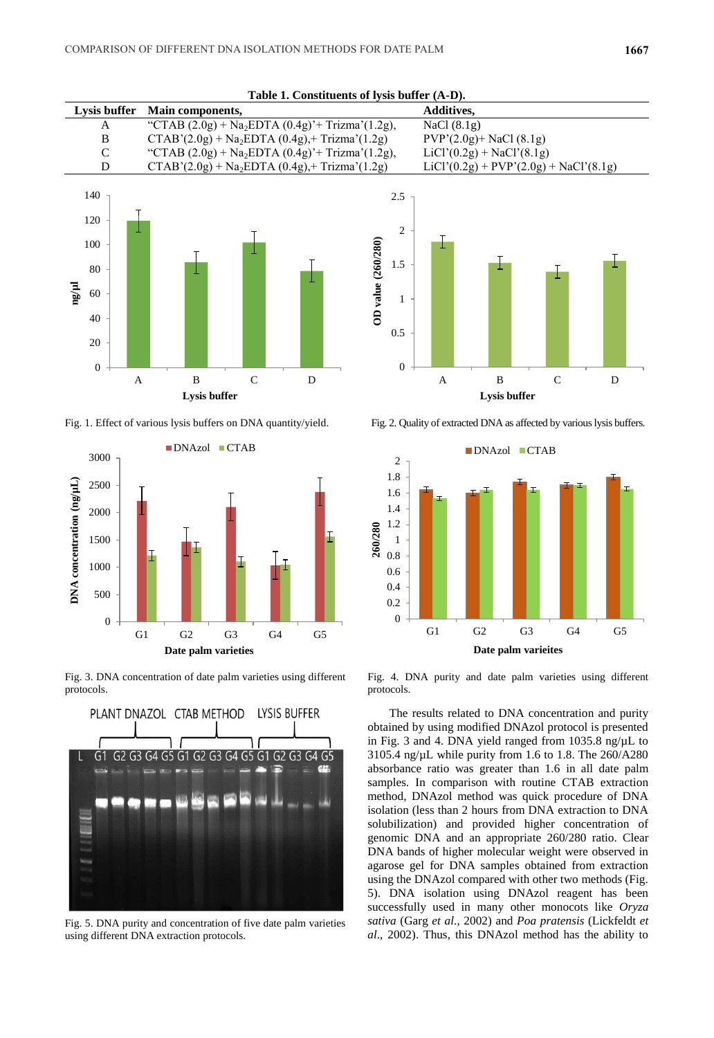**Table 1. Constituents of lysis buffer (A-D).**



Fig. 1. Effect of various lysis buffers on DNA quantity/yield. Fig. 2. Quality of extracted DNA as affected by various lysis buffers.



Fig. 3. DNA concentration of date palm varieties using different protocols.



Fig. 5. DNA purity and concentration of five date palm varieties using different DNA extraction protocols.





Fig. 4. DNA purity and date palm varieties using different protocols.

The results related to DNA concentration and purity obtained by using modified DNAzol protocol is presented in Fig. 3 and 4. DNA yield ranged from  $1035.8$  ng/ $\mu$ L to 3105.4 ng/µL while purity from 1.6 to 1.8. The 260/A280 absorbance ratio was greater than 1.6 in all date palm samples. In comparison with routine CTAB extraction method, DNAzol method was quick procedure of DNA isolation (less than 2 hours from DNA extraction to DNA solubilization) and provided higher concentration of genomic DNA and an appropriate 260/280 ratio. Clear DNA bands of higher molecular weight were observed in agarose gel for DNA samples obtained from extraction using the DNAzol compared with other two methods (Fig. 5). DNA isolation using DNAzol reagent has been successfully used in many other monocots like *Oryza sativa* (Garg *et al*., 2002) and *Poa pratensis* (Lickfeldt *et al*., 2002). Thus, this DNAzol method has the ability to